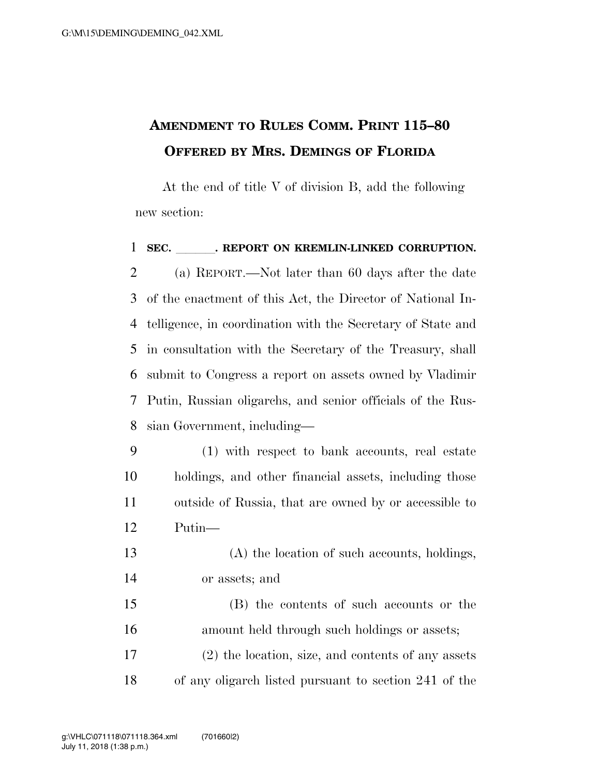## **AMENDMENT TO RULES COMM. PRINT 115–80 OFFERED BY MRS. DEMINGS OF FLORIDA**

At the end of title V of division B, add the following new section:

1 SEC. REPORT ON KREMLIN-LINKED CORRUPTION. (a) REPORT.—Not later than 60 days after the date of the enactment of this Act, the Director of National In- telligence, in coordination with the Secretary of State and in consultation with the Secretary of the Treasury, shall submit to Congress a report on assets owned by Vladimir Putin, Russian oligarchs, and senior officials of the Rus-sian Government, including—

- (1) with respect to bank accounts, real estate holdings, and other financial assets, including those outside of Russia, that are owned by or accessible to Putin—
- (A) the location of such accounts, holdings, or assets; and

 (B) the contents of such accounts or the amount held through such holdings or assets; (2) the location, size, and contents of any assets of any oligarch listed pursuant to section 241 of the